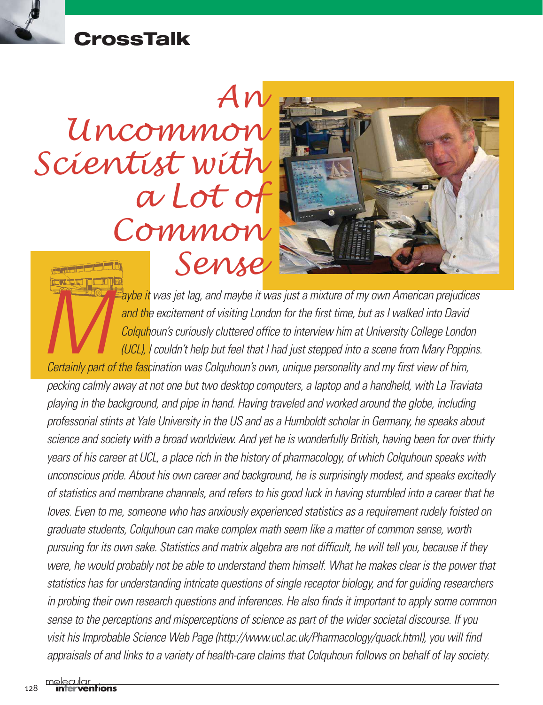## **CrossTalk**

# *An Uncommon Scientist with a Lot of Common Sense*



**Maybe it** was jet lag, and maybe it was just a mixture of my own American prejudices<br>and the excitement of visiting London for the first time, but as I walked into David<br>Colquhoun's curiously cluttered office to interview *and the excitement of visiting London for the first time, but as I walked into David Colquhoun's curiously cluttered office to interview him at University College London (UCL), I couldn't help but feel that I had just stepped into a scene from Mary Poppins.*

*pecking calmly away at not one but two desktop computers, a laptop and a handheld, with La Traviata playing in the background, and pipe in hand. Having traveled and worked around the globe, including professorial stints at Yale University in the US and as a Humboldt scholar in Germany, he speaks about science and society with a broad worldview. And yet he is wonderfully British, having been for over thirty years of his career at UCL, a place rich in the history of pharmacology, of which Colquhoun speaks with unconscious pride. About his own career and background, he is surprisingly modest, and speaks excitedly of statistics and membrane channels, and refers to his good luck in having stumbled into a career that he loves. Even to me, someone who has anxiously experienced statistics as a requirement rudely foisted on graduate students, Colquhoun can make complex math seem like a matter of common sense, worth pursuing for its own sake. Statistics and matrix algebra are not difficult, he will tell you, because if they were, he would probably not be able to understand them himself. What he makes clear is the power that statistics has for understanding intricate questions of single receptor biology, and for guiding researchers in probing their own research questions and inferences. He also finds it important to apply some common sense to the perceptions and misperceptions of science as part of the wider societal discourse. If you visit his Improbable Science Web Page (http://www.ucl.ac.uk/Pharmacology/quack.html), you will find appraisals of and links to a variety of health-care claims that Colquhoun follows on behalf of lay society.*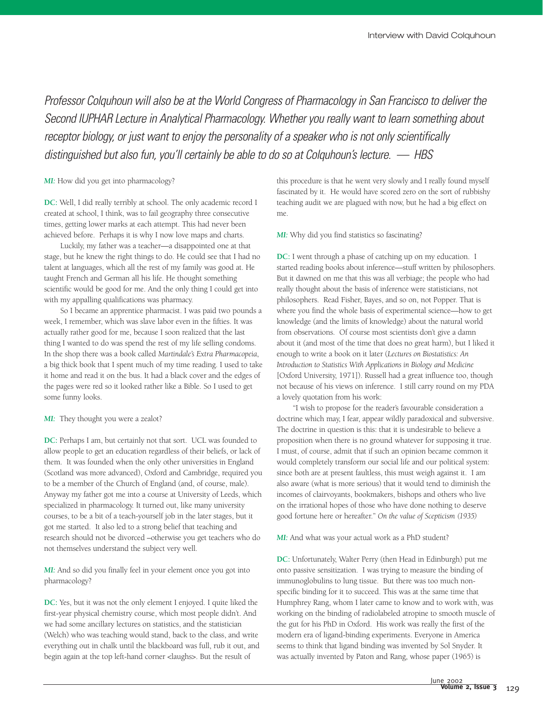*Professor Colquhoun will also be at the World Congress of Pharmacology in San Francisco to deliver the Second IUPHAR Lecture in Analytical Pharmacology. Whether you really want to learn something about receptor biology, or just want to enjoy the personality of a speaker who is not only scientifically distinguished but also fun, you'll certainly be able to do so at Colquhoun's lecture. — HBS* 

#### *MI:* How did you get into pharmacology?

**DC:** Well, I did really terribly at school. The only academic record I created at school, I think, was to fail geography three consecutive times, getting lower marks at each attempt. This had never been achieved before. Perhaps it is why I now love maps and charts.

Luckily, my father was a teacher—a disappointed one at that stage, but he knew the right things to do. He could see that I had no talent at languages, which all the rest of my family was good at. He taught French and German all his life. He thought something scientific would be good for me. And the only thing I could get into with my appalling qualifications was pharmacy.

So I became an apprentice pharmacist. I was paid two pounds a week, I remember, which was slave labor even in the fifties. It was actually rather good for me, because I soon realized that the last thing I wanted to do was spend the rest of my life selling condoms. In the shop there was a book called *Martindale's Extra Pharmacopeia*, a big thick book that I spent much of my time reading. I used to take it home and read it on the bus. It had a black cover and the edges of the pages were red so it looked rather like a Bible. So I used to get some funny looks.

#### *MI:* They thought you were a zealot?

**DC:** Perhaps I am, but certainly not that sort. UCL was founded to allow people to get an education regardless of their beliefs, or lack of them. It was founded when the only other universities in England (Scotland was more advanced), Oxford and Cambridge, required you to be a member of the Church of England (and, of course, male). Anyway my father got me into a course at University of Leeds, which specialized in pharmacology. It turned out, like many university courses, to be a bit of a teach-yourself job in the later stages, but it got me started. It also led to a strong belief that teaching and research should not be divorced –otherwise you get teachers who do not themselves understand the subject very well.

*MI:* And so did you finally feel in your element once you got into pharmacology?

**DC:** Yes, but it was not the only element I enjoyed. I quite liked the first-year physical chemistry course, which most people didn't. And we had some ancillary lectures on statistics, and the statistician (Welch) who was teaching would stand, back to the class, and write everything out in chalk until the blackboard was full, rub it out, and begin again at the top left-hand corner <laughs>. But the result of

this procedure is that he went very slowly and I really found myself fascinated by it. He would have scored zero on the sort of rubbishy teaching audit we are plagued with now, but he had a big effect on me.

#### *MI:* Why did you find statistics so fascinating?

**DC:** I went through a phase of catching up on my education. I started reading books about inference—stuff written by philosophers. But it dawned on me that this was all verbiage; the people who had really thought about the basis of inference were statisticians, not philosophers. Read Fisher, Bayes, and so on, not Popper. That is where you find the whole basis of experimental science—how to get knowledge (and the limits of knowledge) about the natural world from observations. Of course most scientists don't give a damn about it (and most of the time that does no great harm), but I liked it enough to write a book on it later (*Lectures on Biostatistics: An Introduction to Statistics With Applications in Biology and Medicine* [Oxford University, 1971]). Russell had a great influence too, though not because of his views on inference. I still carry round on my PDA a lovely quotation from his work:

"I wish to propose for the reader's favourable consideration a doctrine which may, I fear, appear wildly paradoxical and subversive. The doctrine in question is this: that it is undesirable to believe a proposition when there is no ground whatever for supposing it true. I must, of course, admit that if such an opinion became common it would completely transform our social life and our political system: since both are at present faultless, this must weigh against it. I am also aware (what is more serious) that it would tend to diminish the incomes of clairvoyants, bookmakers, bishops and others who live on the irrational hopes of those who have done nothing to deserve good fortune here or hereafter." *On the value of Scepticism (1935)*

*MI:* And what was your actual work as a PhD student?

**DC:** Unfortunately, Walter Perry (then Head in Edinburgh) put me onto passive sensitization. I was trying to measure the binding of immunoglobulins to lung tissue. But there was too much nonspecific binding for it to succeed. This was at the same time that Humphrey Rang, whom I later came to know and to work with, was working on the binding of radiolabeled atropine to smooth muscle of the gut for his PhD in Oxford. His work was really the first of the modern era of ligand-binding experiments. Everyone in America seems to think that ligand binding was invented by Sol Snyder. It was actually invented by Paton and Rang, whose paper (1965) is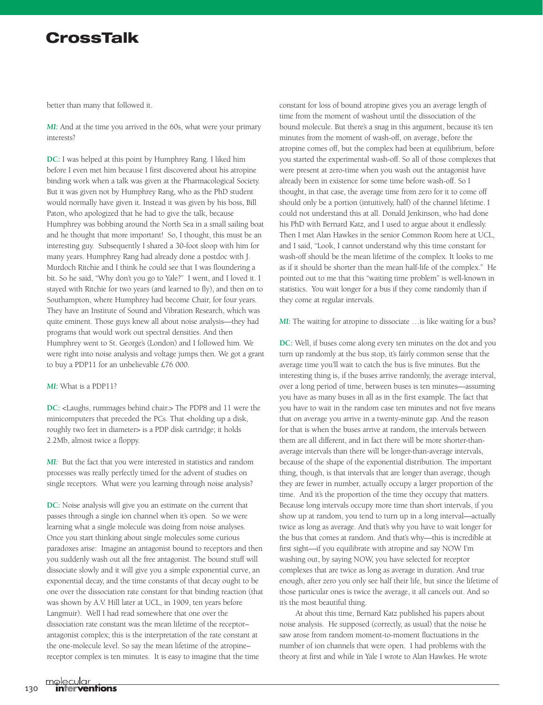### **CrossTalk**

better than many that followed it.

*MI:* And at the time you arrived in the 60s, what were your primary interests?

**DC:** I was helped at this point by Humphrey Rang. I liked him before I even met him because I first discovered about his atropine binding work when a talk was given at the Pharmacological Society. But it was given not by Humphrey Rang, who as the PhD student would normally have given it. Instead it was given by his boss, Bill Paton, who apologized that he had to give the talk, because Humphrey was bobbing around the North Sea in a small sailing boat and he thought that more important! So, I thought, this must be an interesting guy. Subsequently I shared a 30-foot sloop with him for many years. Humphrey Rang had already done a postdoc with J. Murdoch Ritchie and I think he could see that I was floundering a bit. So he said, "Why don't you go to Yale?" I went, and I loved it. I stayed with Ritchie for two years (and learned to fly), and then on to Southampton, where Humphrey had become Chair, for four years. They have an Institute of Sound and Vibration Research, which was quite eminent. Those guys knew all about noise analysis—they had programs that would work out spectral densities. And then Humphrey went to St. George's (London) and I followed him. We were right into noise analysis and voltage jumps then. We got a grant to buy a PDP11 for an unbelievable £76 000.

#### *MI:* What is a PDP11?

**DC:** <Laughs, rummages behind chair.> The PDP8 and 11 were the minicomputers that preceded the PCs. That <holding up a disk, roughly two feet in diameter> is a PDP disk cartridge; it holds 2.2Mb, almost twice a floppy.

*MI:* But the fact that you were interested in statistics and random processes was really perfectly timed for the advent of studies on single receptors. What were you learning through noise analysis?

**DC:** Noise analysis will give you an estimate on the current that passes through a single ion channel when it's open. So we were learning what a single molecule was doing from noise analyses. Once you start thinking about single molecules some curious paradoxes arise: Imagine an antagonist bound to receptors and then you suddenly wash out all the free antagonist. The bound stuff will dissociate slowly and it will give you a simple exponential curve, an exponential decay, and the time constants of that decay ought to be one over the dissociation rate constant for that binding reaction (that was shown by A.V. Hill later at UCL, in 1909, ten years before Langmuir). Well I had read somewhere that one over the dissociation rate constant was the mean lifetime of the receptor– antagonist complex; this is the interpretation of the rate constant at the one-molecule level. So say the mean lifetime of the atropine– receptor complex is ten minutes. It is easy to imagine that the time

constant for loss of bound atropine gives you an average length of time from the moment of washout until the dissociation of the bound molecule. But there's a snag in this argument, because it's ten minutes from the moment of wash-off, on average, before the atropine comes off, but the complex had been at equilibrium, before you started the experimental wash-off. So all of those complexes that were present at zero-time when you wash out the antagonist have already been in existence for some time before wash-off. So I thought, in that case, the average time from zero for it to come off should only be a portion (intuitively, half) of the channel lifetime. I could not understand this at all. Donald Jenkinson, who had done his PhD with Bernard Katz, and I used to argue about it endlessly. Then I met Alan Hawkes in the senior Common Room here at UCL, and I said, "Look, I cannot understand why this time constant for wash-off should be the mean lifetime of the complex. It looks to me as if it should be shorter than the mean half-life of the complex." He pointed out to me that this "waiting time problem" is well-known in statistics. You wait longer for a bus if they come randomly than if they come at regular intervals.

*MI:* The waiting for atropine to dissociate ... is like waiting for a bus?

**DC:** Well, if buses come along every ten minutes on the dot and you turn up randomly at the bus stop, it's fairly common sense that the average time you'll wait to catch the bus is five minutes. But the interesting thing is, if the buses arrive randomly, the average interval, over a long period of time, between buses is ten minutes—assuming you have as many buses in all as in the first example. The fact that you have to wait in the random case ten minutes and not five means that on average you arrive in a twenty-minute gap. And the reason for that is when the buses arrive at random, the intervals between them are all different, and in fact there will be more shorter-thanaverage intervals than there will be longer-than-average intervals, because of the shape of the exponential distribution. The important thing, though, is that intervals that are longer than average, though they are fewer in number, actually occupy a larger proportion of the time. And it's the proportion of the time they occupy that matters. Because long intervals occupy more time than short intervals, if you show up at random, you tend to turn up in a long interval—actually twice as long as average. And that's why you have to wait longer for the bus that comes at random. And that's why—this is incredible at first sight—if you equilibrate with atropine and say NOW I'm washing out, by saying NOW, you have selected for receptor complexes that are twice as long as average in duration. And true enough, after zero you only see half their life, but since the lifetime of those particular ones is twice the average, it all cancels out. And so it's the most beautiful thing.

At about this time, Bernard Katz published his papers about noise analysis. He supposed (correctly, as usual) that the noise he saw arose from random moment-to-moment fluctuations in the number of ion channels that were open. I had problems with the theory at first and while in Yale I wrote to Alan Hawkes. He wrote